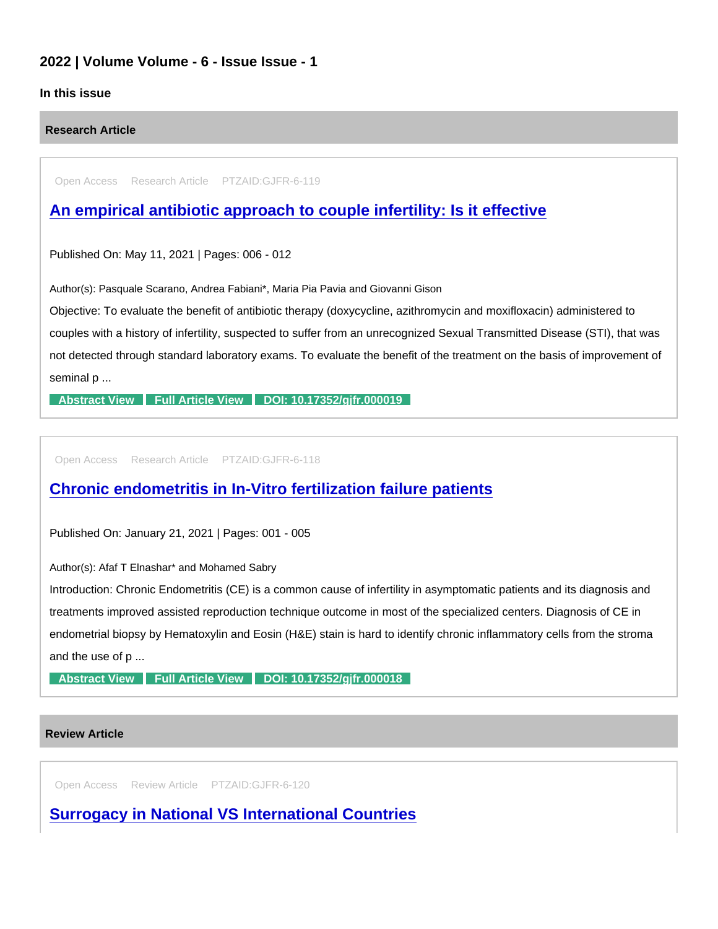## 2022 | Volume Volume - 6 - Issue Issue - 1

## In this issue

Research Article

Open Access Research Article PTZAID:GJFR-6-119

[An empirical antibiotic approach to couple infertility: Is it effective](https://www.peertechzpublications.com/articles/an-empirical-antibiotic-approach-to-couple-infertility-is-it-effective)

Published On: May 11, 2021 | Pages: 006 - 012

Author(s): Pasquale Scarano, Andrea Fabiani\*, Maria Pia Pavia and Giovanni Gison

Objective: To evaluate the benefit of antibiotic therapy (doxycycline, azithromycin and moxifloxacin) administered to couples with a history of infertility, suspected to suffer from an unrecognized Sexual Transmitted Disease (STI), that was not detected through standard laboratory exams. To evaluate the benefit of the treatment on the basis of improvement of seminal p ...

[Abstract View](https://www.peertechzpublications.com/abstracts/an-empirical-antibiotic-approach-to-couple-infertility-is-it-effective) [Full Article View](https://www.peertechzpublications.com/articles/an-empirical-antibiotic-approach-to-couple-infertility-is-it-effective) DOI: 10.17352/gifr.000019

Open Access Research Article PTZAID:GJFR-6-118

## [Chronic endometritis in In-Vitro fertilization failure patients](https://www.peertechzpublications.com/articles/chronic-endometritis-in-in-vitro-fertilization-failure-patients)

Published On: January 21, 2021 | Pages: 001 - 005

Author(s): Afaf T Elnashar\* and Mohamed Sabry

Introduction: Chronic Endometritis (CE) is a common cause of infertility in asymptomatic patients and its diagnosis and treatments improved assisted reproduction technique outcome in most of the specialized centers. Diagnosis of CE in endometrial biopsy by Hematoxylin and Eosin (H&E) stain is hard to identify chronic inflammatory cells from the stroma and the use of p ...

[Abstract View](https://www.peertechzpublications.com/abstracts/chronic-endometritis-in-in-vitro-fertilization-failure-patients) [Full Article View](https://www.peertechzpublications.com/articles/chronic-endometritis-in-in-vitro-fertilization-failure-patients) DOI: 10.17352/gifr.000018

## Review Article

Open Access Review Article PTZAID:GJFR-6-120

[Surrogacy in National VS International Countries](https://www.peertechzpublications.com/articles/surrogacy-in-national-vs-international-countries)